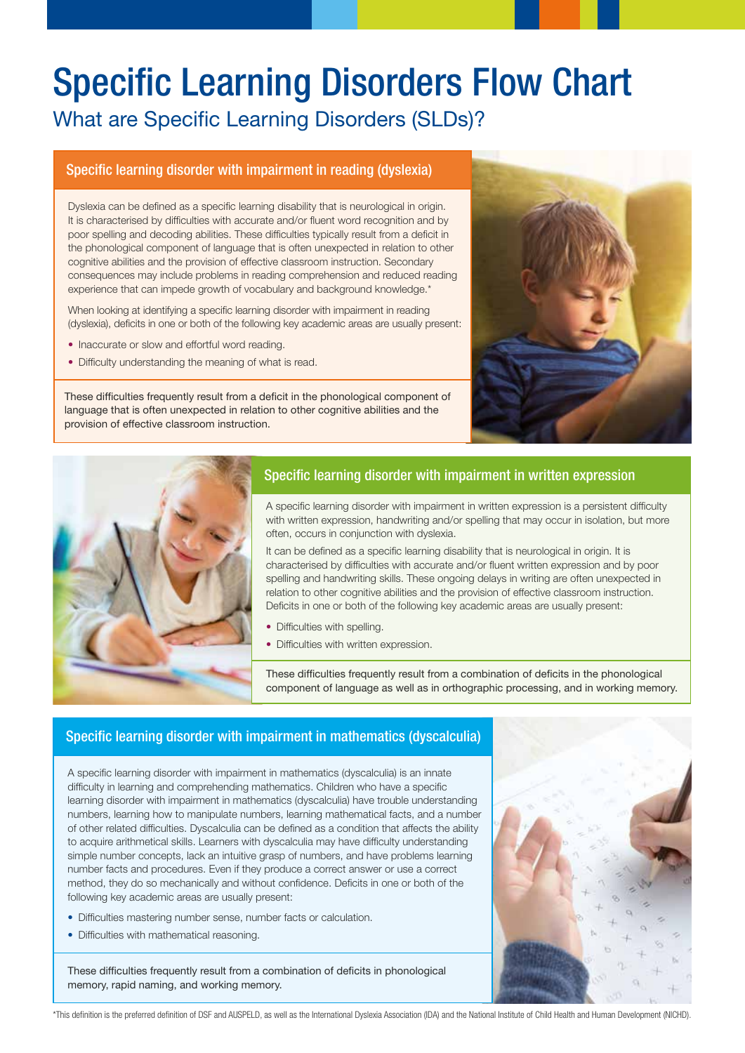# Specific Learning Disorders Flow Chart

What are Specific Learning Disorders (SLDs)?

# Specific learning disorder with impairment in reading (dyslexia)

Dyslexia can be defined as a specific learning disability that is neurological in origin. It is characterised by difficulties with accurate and/or fluent word recognition and by poor spelling and decoding abilities. These difficulties typically result from a deficit in the phonological component of language that is often unexpected in relation to other cognitive abilities and the provision of effective classroom instruction. Secondary consequences may include problems in reading comprehension and reduced reading experience that can impede growth of vocabulary and background knowledge.\*

When looking at identifying a specific learning disorder with impairment in reading (dyslexia), deficits in one or both of the following key academic areas are usually present:

- Inaccurate or slow and effortful word reading.
- Difficulty understanding the meaning of what is read.

These difficulties frequently result from a deficit in the phonological component of language that is often unexpected in relation to other cognitive abilities and the provision of effective classroom instruction.





# Specific learning disorder with impairment in written expression

A specific learning disorder with impairment in written expression is a persistent difficulty with written expression, handwriting and/or spelling that may occur in isolation, but more often, occurs in conjunction with dyslexia.

It can be defined as a specific learning disability that is neurological in origin. It is characterised by difficulties with accurate and/or fluent written expression and by poor spelling and handwriting skills. These ongoing delays in writing are often unexpected in relation to other cognitive abilities and the provision of effective classroom instruction. Deficits in one or both of the following key academic areas are usually present:

- Difficulties with spelling.
- Difficulties with written expression.

These difficulties frequently result from a combination of deficits in the phonological component of language as well as in orthographic processing, and in working memory.

# Specific learning disorder with impairment in mathematics (dyscalculia)

A specific learning disorder with impairment in mathematics (dyscalculia) is an innate difficulty in learning and comprehending mathematics. Children who have a specific learning disorder with impairment in mathematics (dyscalculia) have trouble understanding numbers, learning how to manipulate numbers, learning mathematical facts, and a number of other related difficulties. Dyscalculia can be defined as a condition that affects the ability to acquire arithmetical skills. Learners with dyscalculia may have difficulty understanding simple number concepts, lack an intuitive grasp of numbers, and have problems learning number facts and procedures. Even if they produce a correct answer or use a correct method, they do so mechanically and without confidence. Deficits in one or both of the following key academic areas are usually present:

- Difficulties mastering number sense, number facts or calculation.
- Difficulties with mathematical reasoning.

These difficulties frequently result from a combination of deficits in phonological memory, rapid naming, and working memory.



\*This definition is the preferred definition of DSF and AUSPELD, as well as the International Dyslexia Association (IDA) and the National Institute of Child Health and Human Development (NICHD).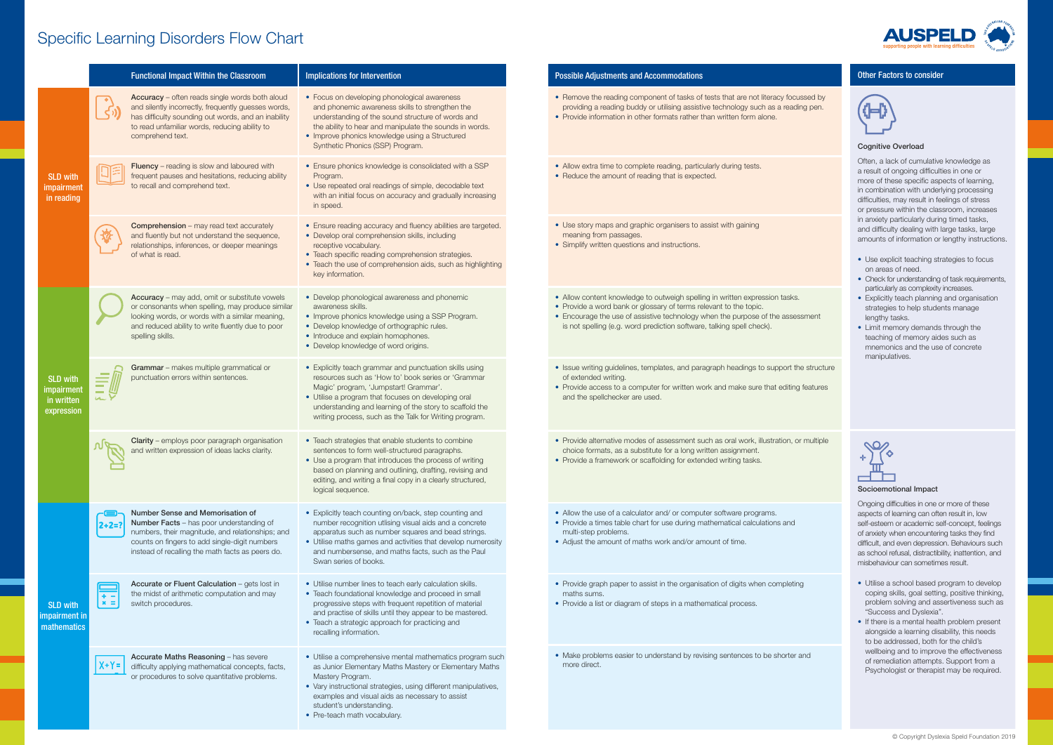# Specific Learning Disorders Flow Chart supporting people with learning

|                                                           | <b>Functional Impact Within the Classroom</b>                                                                                                                                                                                                               | Implications for Intervention                                                                                                                                                                                                                                                                                                      | <b>Possible Adjustments and Accommodations</b>                                                                                                                                                                                                                                                           |
|-----------------------------------------------------------|-------------------------------------------------------------------------------------------------------------------------------------------------------------------------------------------------------------------------------------------------------------|------------------------------------------------------------------------------------------------------------------------------------------------------------------------------------------------------------------------------------------------------------------------------------------------------------------------------------|----------------------------------------------------------------------------------------------------------------------------------------------------------------------------------------------------------------------------------------------------------------------------------------------------------|
| <b>SLD with</b><br>impairment<br>in reading               | Accuracy - often reads single words both aloud<br>and silently incorrectly, frequently guesses words,<br>has difficulty sounding out words, and an inability<br>to read unfamiliar words, reducing ability to<br>comprehend text.                           | • Focus on developing phonological awareness<br>and phonemic awareness skills to strengthen the<br>understanding of the sound structure of words and<br>the ability to hear and manipulate the sounds in words.<br>• Improve phonics knowledge using a Structured<br>Synthetic Phonics (SSP) Program.                              | • Remove the reading component of tasks of tests that are not literacy focusse<br>providing a reading buddy or utilising assistive technology such as a reading<br>• Provide information in other formats rather than written form alone.                                                                |
|                                                           | Fluency - reading is slow and laboured with<br>frequent pauses and hesitations, reducing ability<br>to recall and comprehend text.                                                                                                                          | • Ensure phonics knowledge is consolidated with a SSP<br>Program.<br>• Use repeated oral readings of simple, decodable text<br>with an initial focus on accuracy and gradually increasing<br>in speed.                                                                                                                             | • Allow extra time to complete reading, particularly during tests.<br>• Reduce the amount of reading that is expected.                                                                                                                                                                                   |
|                                                           | <b>Comprehension</b> – may read text accurately<br>and fluently but not understand the sequence,<br>relationships, inferences, or deeper meanings<br>of what is read.                                                                                       | • Ensure reading accuracy and fluency abilities are targeted.<br>• Develop oral comprehension skills, including<br>receptive vocabulary.<br>• Teach specific reading comprehension strategies.<br>• Teach the use of comprehension aids, such as highlighting<br>key information.                                                  | • Use story maps and graphic organisers to assist with gaining<br>meaning from passages.<br>• Simplify written questions and instructions.                                                                                                                                                               |
| <b>SLD with</b><br>impairment<br>in written<br>expression | Accuracy - may add, omit or substitute vowels<br>or consonants when spelling, may produce similar<br>looking words, or words with a similar meaning,<br>and reduced ability to write fluently due to poor<br>spelling skills.                               | • Develop phonological awareness and phonemic<br>awareness skills.<br>• Improve phonics knowledge using a SSP Program.<br>• Develop knowledge of orthographic rules.<br>• Introduce and explain homophones.<br>• Develop knowledge of word origins.                                                                                | • Allow content knowledge to outweigh spelling in written expression tasks.<br>• Provide a word bank or glossary of terms relevant to the topic.<br>• Encourage the use of assistive technology when the purpose of the assessm<br>is not spelling (e.g. word prediction software, talking spell check). |
|                                                           | Grammar - makes multiple grammatical or<br>punctuation errors within sentences.                                                                                                                                                                             | • Explicitly teach grammar and punctuation skills using<br>resources such as 'How to' book series or 'Grammar<br>Magic' program, 'Jumpstart! Grammar'.<br>• Utilise a program that focuses on developing oral<br>understanding and learning of the story to scaffold the<br>writing process, such as the Talk for Writing program. | • Issue writing guidelines, templates, and paragraph headings to support the s<br>of extended writing.<br>• Provide access to a computer for written work and make sure that editing feat<br>and the spellchecker are used.                                                                              |
|                                                           | Clarity - employs poor paragraph organisation<br>and written expression of ideas lacks clarity.                                                                                                                                                             | • Teach strategies that enable students to combine<br>sentences to form well-structured paragraphs.<br>• Use a program that introduces the process of writing<br>based on planning and outlining, drafting, revising and<br>editing, and writing a final copy in a clearly structured,<br>logical sequence.                        | • Provide alternative modes of assessment such as oral work, illustration, or m<br>choice formats, as a substitute for a long written assignment.<br>• Provide a framework or scaffolding for extended writing tasks.                                                                                    |
| <b>SLD with</b><br>impairment in<br>mathematics           | Number Sense and Memorisation of<br><b>Number Facts</b> - has poor understanding of<br>$2 + 2 = ?$<br>numbers, their magnitude, and relationships; and<br>counts on fingers to add single-digit numbers<br>instead of recalling the math facts as peers do. | • Explicitly teach counting on/back, step counting and<br>number recognition utlising visual aids and a concrete<br>apparatus such as number squares and bead strings.<br>• Utilise maths games and activities that develop numerosity<br>and numbersense, and maths facts, such as the Paul<br>Swan series of books.              | • Allow the use of a calculator and/ or computer software programs.<br>• Provide a times table chart for use during mathematical calculations and<br>multi-step problems.<br>• Adjust the amount of maths work and/or amount of time.                                                                    |
|                                                           | Accurate or Fluent Calculation - gets lost in<br>the midst of arithmetic computation and may<br>$+ -$<br>$x =$<br>switch procedures.                                                                                                                        | • Utilise number lines to teach early calculation skills.<br>• Teach foundational knowledge and proceed in small<br>progressive steps with frequent repetition of material<br>and practise of skills until they appear to be mastered.<br>• Teach a strategic approach for practicing and<br>recalling information.                | • Provide graph paper to assist in the organisation of digits when completing<br>maths sums.<br>• Provide a list or diagram of steps in a mathematical process.                                                                                                                                          |
|                                                           | Accurate Maths Reasoning - has severe<br>$X+Y=$<br>difficulty applying mathematical concepts, facts,<br>or procedures to solve quantitative problems.                                                                                                       | • Utilise a comprehensive mental mathematics program such<br>as Junior Elementary Maths Mastery or Elementary Maths<br>Mastery Program.<br>• Vary instructional strategies, using different manipulatives,<br>examples and visual aids as necessary to assist<br>student's understanding.<br>• Pre-teach math vocabulary.          | • Make problems easier to understand by revising sentences to be shorter and<br>more direct.                                                                                                                                                                                                             |



## Other Factors to consider



#### Cognitive Overload

Often, a lack of cumulative knowledge as a result of ongoing difficulties in one or more of these specific aspects of learning, in combination with underlying processing difficulties, may result in feelings of stress or pressure within the classroom, increases in anxiety particularly during timed tasks, and difficulty dealing with large tasks, large amounts of information or lengthy instructions.

- Use explicit teaching strategies to focus on areas of need.
- Check for understanding of task requirements, particularly as complexity increases.
- Explicitly teach planning and organisation strategies to help students manage lengthy tasks.
- Limit memory demands through the teaching of memory aides such as mnemonics and the use of concrete manipulatives.

#### Socioemotional Impact

Ongoing difficulties in one or more of these aspects of learning can often result in, low self-esteem or academic self-concept, feelings of anxiety when encountering tasks they find difficult, and even depression. Behaviours such as school refusal, distractibility, inattention, and misbehaviour can sometimes result.

- Utilise a school based program to develop coping skills, goal setting, positive thinking, problem solving and assertiveness such as "Success and Dyslexia".
- If there is a mental health problem present alongside a learning disability, this needs to be addressed, both for the child's wellbeing and to improve the effectiveness of remediation attempts. Support from a Psychologist or therapist may be required.

ocussed by pading pen.

- 
- ssessment

#### <sup>the</sup> structure

ting features

n, or multiple